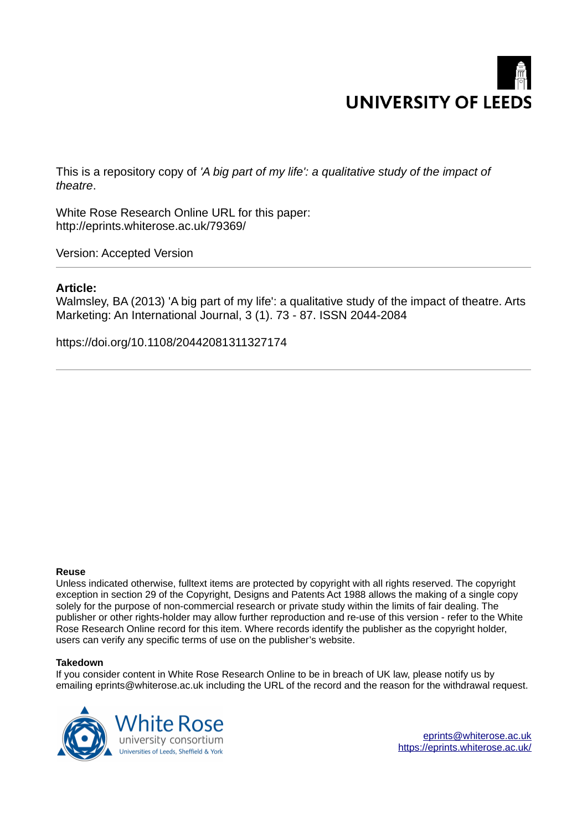

This is a repository copy of *'A big part of my life': a qualitative study of the impact of theatre*.

White Rose Research Online URL for this paper: http://eprints.whiterose.ac.uk/79369/

Version: Accepted Version

# **Article:**

Walmsley, BA (2013) 'A big part of my life': a qualitative study of the impact of theatre. Arts Marketing: An International Journal, 3 (1). 73 - 87. ISSN 2044-2084

https://doi.org/10.1108/20442081311327174

#### **Reuse**

Unless indicated otherwise, fulltext items are protected by copyright with all rights reserved. The copyright exception in section 29 of the Copyright, Designs and Patents Act 1988 allows the making of a single copy solely for the purpose of non-commercial research or private study within the limits of fair dealing. The publisher or other rights-holder may allow further reproduction and re-use of this version - refer to the White Rose Research Online record for this item. Where records identify the publisher as the copyright holder, users can verify any specific terms of use on the publisher's website.

#### **Takedown**

If you consider content in White Rose Research Online to be in breach of UK law, please notify us by emailing eprints@whiterose.ac.uk including the URL of the record and the reason for the withdrawal request.

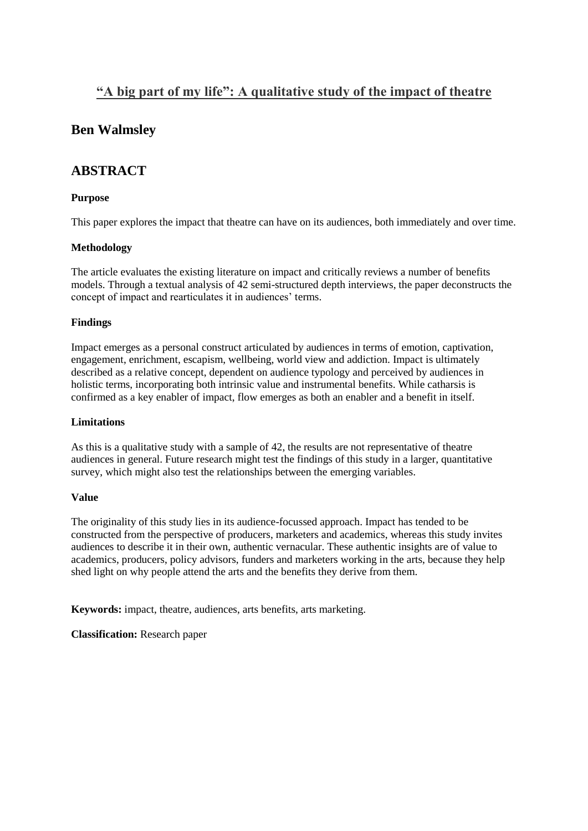# **"A big part of my life": A qualitative study of the impact of theatre**

# **Ben Walmsley**

# **ABSTRACT**

# **Purpose**

This paper explores the impact that theatre can have on its audiences, both immediately and over time.

# **Methodology**

The article evaluates the existing literature on impact and critically reviews a number of benefits models. Through a textual analysis of 42 semi-structured depth interviews, the paper deconstructs the concept of impact and rearticulates it in audiences' terms.

# **Findings**

Impact emerges as a personal construct articulated by audiences in terms of emotion, captivation, engagement, enrichment, escapism, wellbeing, world view and addiction. Impact is ultimately described as a relative concept, dependent on audience typology and perceived by audiences in holistic terms, incorporating both intrinsic value and instrumental benefits. While catharsis is confirmed as a key enabler of impact, flow emerges as both an enabler and a benefit in itself.

# **Limitations**

As this is a qualitative study with a sample of 42, the results are not representative of theatre audiences in general. Future research might test the findings of this study in a larger, quantitative survey, which might also test the relationships between the emerging variables.

## **Value**

The originality of this study lies in its audience-focussed approach. Impact has tended to be constructed from the perspective of producers, marketers and academics, whereas this study invites audiences to describe it in their own, authentic vernacular. These authentic insights are of value to academics, producers, policy advisors, funders and marketers working in the arts, because they help shed light on why people attend the arts and the benefits they derive from them.

**Keywords:** impact, theatre, audiences, arts benefits, arts marketing.

**Classification:** Research paper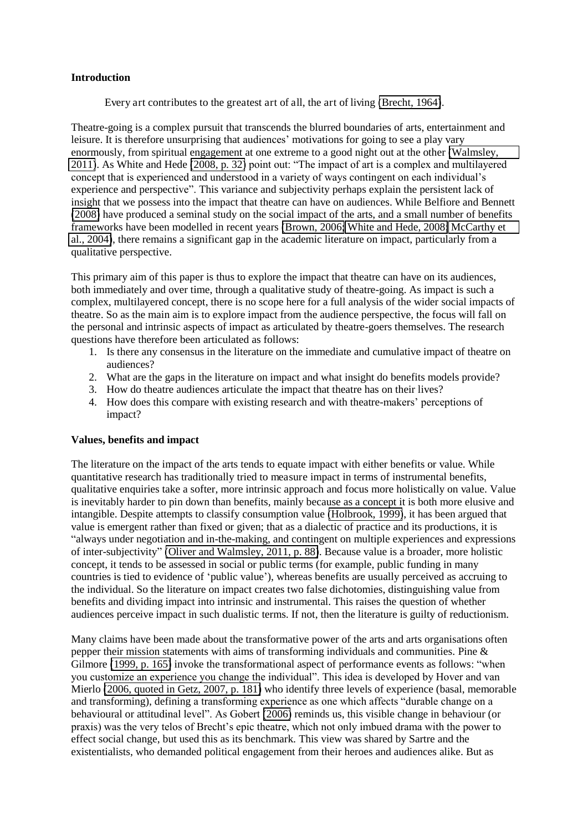## **Introduction**

Every art contributes to the greatest art of all, the art of living [\(Brecht, 1964\)](#page-11-0).

Theatre-going is a complex pursuit that transcends the blurred boundaries of arts, entertainment and leisure. It is therefore unsurprising that audiences' motivations for going to see a play vary enormously, from spiritual engagement at one extreme to a good night out at the other [\(Walmsley,](#page-13-0)  [2011\)](#page-13-0). As White and Hede [\(2008, p. 32\)](#page-13-1) point out: "The impact of art is a complex and multilayered concept that is experienced and understood in a variety of ways contingent on each individual's experience and perspective". This variance and subjectivity perhaps explain the persistent lack of insight that we possess into the impact that theatre can have on audiences. While Belfiore and Bennett [\(2008\)](#page-11-1) have produced a seminal study on the social impact of the arts, and a small number of benefits frameworks have been modelled in recent years [\(Brown, 2006;](#page-11-2) [White and Hede, 2008;](#page-13-1) [McCarthy et](#page-12-0)  [al., 2004\)](#page-12-0), there remains a significant gap in the academic literature on impact, particularly from a qualitative perspective.

This primary aim of this paper is thus to explore the impact that theatre can have on its audiences, both immediately and over time, through a qualitative study of theatre-going. As impact is such a complex, multilayered concept, there is no scope here for a full analysis of the wider social impacts of theatre. So as the main aim is to explore impact from the audience perspective, the focus will fall on the personal and intrinsic aspects of impact as articulated by theatre-goers themselves. The research questions have therefore been articulated as follows:

- 1. Is there any consensus in the literature on the immediate and cumulative impact of theatre on audiences?
- 2. What are the gaps in the literature on impact and what insight do benefits models provide?
- 3. How do theatre audiences articulate the impact that theatre has on their lives?
- 4. How does this compare with existing research and with theatre-makers' perceptions of impact?

## **Values, benefits and impact**

The literature on the impact of the arts tends to equate impact with either benefits or value. While quantitative research has traditionally tried to measure impact in terms of instrumental benefits, qualitative enquiries take a softer, more intrinsic approach and focus more holistically on value. Value is inevitably harder to pin down than benefits, mainly because as a concept it is both more elusive and intangible. Despite attempts to classify consumption value [\(Holbrook, 1999\)](#page-12-1), it has been argued that value is emergent rather than fixed or given; that as a dialectic of practice and its productions, it is "always under negotiation and in-the-making, and contingent on multiple experiences and expressions of inter-subjectivity" [\(Oliver and Walmsley, 2011, p. 88\)](#page-12-2). Because value is a broader, more holistic concept, it tends to be assessed in social or public terms (for example, public funding in many countries is tied to evidence of 'public value'), whereas benefits are usually perceived as accruing to the individual. So the literature on impact creates two false dichotomies, distinguishing value from benefits and dividing impact into intrinsic and instrumental. This raises the question of whether audiences perceive impact in such dualistic terms. If not, then the literature is guilty of reductionism.

Many claims have been made about the transformative power of the arts and arts organisations often pepper their mission statements with aims of transforming individuals and communities. Pine & Gilmore [\(1999, p. 165\)](#page-12-3) invoke the transformational aspect of performance events as follows: "when you customize an experience you change the individual". This idea is developed by Hover and van Mierlo [\(2006, quoted in Getz, 2007, p. 181\)](#page-11-3) who identify three levels of experience (basal, memorable and transforming), defining a transforming experience as one which affects "durable change on a behavioural or attitudinal level". As Gobert [\(2006\)](#page-12-4) reminds us, this visible change in behaviour (or praxis) was the very telos of Brecht's epic theatre, which not only imbued drama with the power to effect social change, but used this as its benchmark. This view was shared by Sartre and the existentialists, who demanded political engagement from their heroes and audiences alike. But as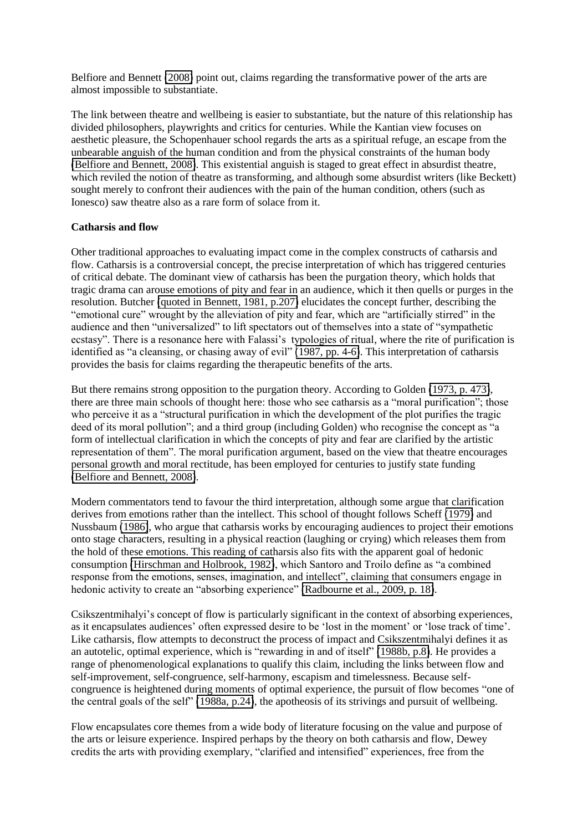Belfiore and Bennett [\(2008\)](#page-11-1) point out, claims regarding the transformative power of the arts are almost impossible to substantiate.

The link between theatre and wellbeing is easier to substantiate, but the nature of this relationship has divided philosophers, playwrights and critics for centuries. While the Kantian view focuses on aesthetic pleasure, the Schopenhauer school regards the arts as a spiritual refuge, an escape from the unbearable anguish of the human condition and from the physical constraints of the human body [\(Belfiore and Bennett, 2008\)](#page-11-1). This existential anguish is staged to great effect in absurdist theatre, which reviled the notion of theatre as transforming, and although some absurdist writers (like Beckett) sought merely to confront their audiences with the pain of the human condition, others (such as Ionesco) saw theatre also as a rare form of solace from it.

## **Catharsis and flow**

Other traditional approaches to evaluating impact come in the complex constructs of catharsis and flow. Catharsis is a controversial concept, the precise interpretation of which has triggered centuries of critical debate. The dominant view of catharsis has been the purgation theory, which holds that tragic drama can arouse emotions of pity and fear in an audience, which it then quells or purges in the resolution. Butcher [\(quoted in Bennett, 1981, p.207\)](#page-11-4) elucidates the concept further, describing the "emotional cure" wrought by the alleviation of pity and fear, which are "artificially stirred" in the audience and then "universalized" to lift spectators out of themselves into a state of "sympathetic ecstasy". There is a resonance here with Falassi's typologies of ritual, where the rite of purification is identified as "a cleansing, or chasing away of evil" [\(1987, pp. 4-6\)](#page-11-5). This interpretation of catharsis provides the basis for claims regarding the therapeutic benefits of the arts.

But there remains strong opposition to the purgation theory. According to Golden [\(1973, p. 473\)](#page-12-5), there are three main schools of thought here: those who see catharsis as a "moral purification"; those who perceive it as a "structural purification in which the development of the plot purifies the tragic deed of its moral pollution"; and a third group (including Golden) who recognise the concept as "a form of intellectual clarification in which the concepts of pity and fear are clarified by the artistic representation of them". The moral purification argument, based on the view that theatre encourages personal growth and moral rectitude, has been employed for centuries to justify state funding [\(Belfiore and Bennett, 2008\)](#page-11-1).

Modern commentators tend to favour the third interpretation, although some argue that clarification derives from emotions rather than the intellect. This school of thought follows Scheff [\(1979\)](#page-12-6) and Nussbaum [\(1986\)](#page-12-7), who argue that catharsis works by encouraging audiences to project their emotions onto stage characters, resulting in a physical reaction (laughing or crying) which releases them from the hold of these emotions. This reading of catharsis also fits with the apparent goal of hedonic consumption [\(Hirschman and Holbrook, 1982\)](#page-12-8), which Santoro and Troilo define as "a combined response from the emotions, senses, imagination, and intellect", claiming that consumers engage in hedonic activity to create an "absorbing experience" [\(Radbourne et al., 2009, p. 18\)](#page-12-9).

Csikszentmihalyi's concept of flow is particularly significant in the context of absorbing experiences, as it encapsulates audiences' often expressed desire to be 'lost in the moment' or 'lose track of time'. Like catharsis, flow attempts to deconstruct the process of impact and Csikszentmihalyi defines it as an autotelic, optimal experience, which is "rewarding in and of itself" [\(1988b, p.8\)](#page-11-6). He provides a range of phenomenological explanations to qualify this claim, including the links between flow and self-improvement, self-congruence, self-harmony, escapism and timelessness. Because selfcongruence is heightened during moments of optimal experience, the pursuit of flow becomes "one of the central goals of the self" [\(1988a, p.24\)](#page-11-7), the apotheosis of its strivings and pursuit of wellbeing.

Flow encapsulates core themes from a wide body of literature focusing on the value and purpose of the arts or leisure experience. Inspired perhaps by the theory on both catharsis and flow, Dewey credits the arts with providing exemplary, "clarified and intensified" experiences, free from the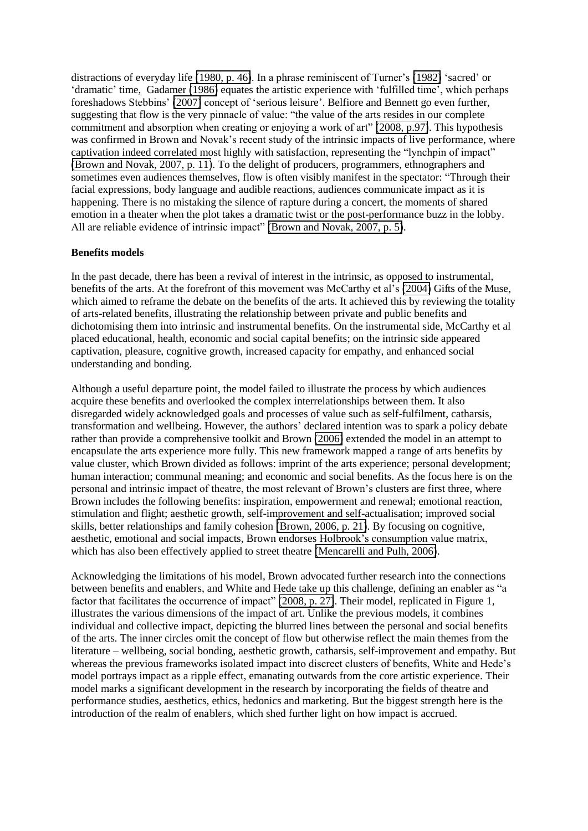distractions of everyday life [\(1980, p. 46\)](#page-11-8). In a phrase reminiscent of Turner's [\(1982\)](#page-12-10) 'sacred' or 'dramatic' time, Gadamer [\(1986\)](#page-11-9) equates the artistic experience with 'fulfilled time', which perhaps foreshadows Stebbins' [\(2007\)](#page-12-11) concept of 'serious leisure'. Belfiore and Bennett go even further, suggesting that flow is the very pinnacle of value: "the value of the arts resides in our complete commitment and absorption when creating or enjoying a work of art" [\(2008, p.97\)](#page-11-1). This hypothesis was confirmed in Brown and Novak's recent study of the intrinsic impacts of live performance, where captivation indeed correlated most highly with satisfaction, representing the "lynchpin of impact" [\(Brown and Novak, 2007, p. 11\)](#page-11-10). To the delight of producers, programmers, ethnographers and sometimes even audiences themselves, flow is often visibly manifest in the spectator: "Through their facial expressions, body language and audible reactions, audiences communicate impact as it is happening. There is no mistaking the silence of rapture during a concert, the moments of shared emotion in a theater when the plot takes a dramatic twist or the post-performance buzz in the lobby. All are reliable evidence of intrinsic impact" [\(Brown and Novak, 2007, p. 5\)](#page-11-10).

#### **Benefits models**

In the past decade, there has been a revival of interest in the intrinsic, as opposed to instrumental, benefits of the arts. At the forefront of this movement was McCarthy et al's [\(2004\)](#page-12-0) Gifts of the Muse, which aimed to reframe the debate on the benefits of the arts. It achieved this by reviewing the totality of arts-related benefits, illustrating the relationship between private and public benefits and dichotomising them into intrinsic and instrumental benefits. On the instrumental side, McCarthy et al placed educational, health, economic and social capital benefits; on the intrinsic side appeared captivation, pleasure, cognitive growth, increased capacity for empathy, and enhanced social understanding and bonding.

Although a useful departure point, the model failed to illustrate the process by which audiences acquire these benefits and overlooked the complex interrelationships between them. It also disregarded widely acknowledged goals and processes of value such as self-fulfilment, catharsis, transformation and wellbeing. However, the authors' declared intention was to spark a policy debate rather than provide a comprehensive toolkit and Brown [\(2006\)](#page-11-2) extended the model in an attempt to encapsulate the arts experience more fully. This new framework mapped a range of arts benefits by value cluster, which Brown divided as follows: imprint of the arts experience; personal development; human interaction; communal meaning; and economic and social benefits. As the focus here is on the personal and intrinsic impact of theatre, the most relevant of Brown's clusters are first three, where Brown includes the following benefits: inspiration, empowerment and renewal; emotional reaction, stimulation and flight; aesthetic growth, self-improvement and self-actualisation; improved social skills, better relationships and family cohesion [\(Brown, 2006, p. 21\)](#page-11-2). By focusing on cognitive, aesthetic, emotional and social impacts, Brown endorses Holbrook's consumption value matrix, which has also been effectively applied to street theatre [\(Mencarelli and Pulh, 2006\)](#page-12-12).

Acknowledging the limitations of his model, Brown advocated further research into the connections between benefits and enablers, and White and Hede take up this challenge, defining an enabler as "a factor that facilitates the occurrence of impact" [\(2008, p. 27\)](#page-13-1). Their model, replicated in Figure 1, illustrates the various dimensions of the impact of art. Unlike the previous models, it combines individual and collective impact, depicting the blurred lines between the personal and social benefits of the arts. The inner circles omit the concept of flow but otherwise reflect the main themes from the literature – wellbeing, social bonding, aesthetic growth, catharsis, self-improvement and empathy. But whereas the previous frameworks isolated impact into discreet clusters of benefits, White and Hede's model portrays impact as a ripple effect, emanating outwards from the core artistic experience. Their model marks a significant development in the research by incorporating the fields of theatre and performance studies, aesthetics, ethics, hedonics and marketing. But the biggest strength here is the introduction of the realm of enablers, which shed further light on how impact is accrued.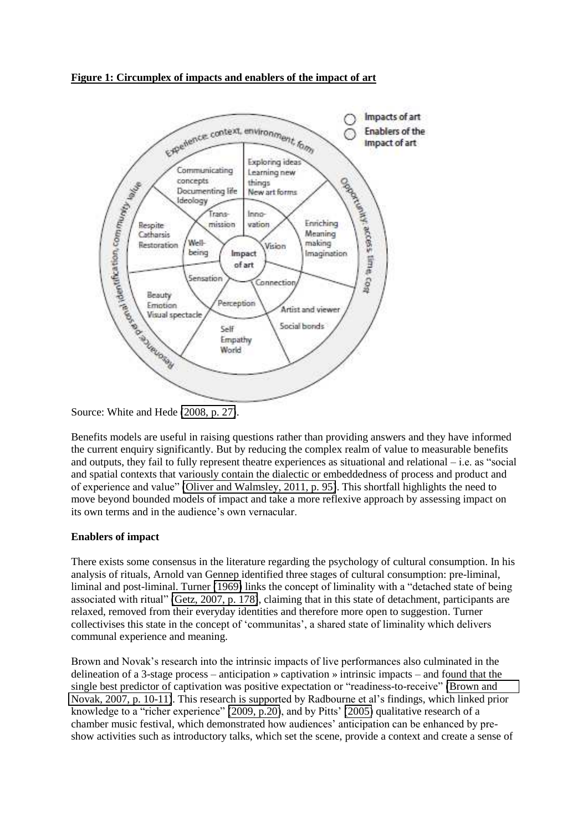# **Figure 1: Circumplex of impacts and enablers of the impact of art**



Source: White and Hede [\(2008, p. 27\)](#page-13-1).

Benefits models are useful in raising questions rather than providing answers and they have informed the current enquiry significantly. But by reducing the complex realm of value to measurable benefits and outputs, they fail to fully represent theatre experiences as situational and relational – i.e. as "social and spatial contexts that variously contain the dialectic or embeddedness of process and product and of experience and value" [\(Oliver and Walmsley, 2011, p. 95\)](#page-12-2). This shortfall highlights the need to move beyond bounded models of impact and take a more reflexive approach by assessing impact on its own terms and in the audience's own vernacular.

# **Enablers of impact**

There exists some consensus in the literature regarding the psychology of cultural consumption. In his analysis of rituals, Arnold van Gennep identified three stages of cultural consumption: pre-liminal, liminal and post-liminal. Turner [\(1969\)](#page-12-13) links the concept of liminality with a "detached state of being associated with ritual" [\(Getz, 2007, p. 178\)](#page-11-3), claiming that in this state of detachment, participants are relaxed, removed from their everyday identities and therefore more open to suggestion. Turner collectivises this state in the concept of 'communitas', a shared state of liminality which delivers communal experience and meaning.

Brown and Novak's research into the intrinsic impacts of live performances also culminated in the delineation of a 3-stage process – anticipation » captivation » intrinsic impacts – and found that the single best predictor of captivation was positive expectation or "readiness-to-receive" [\(Brown and](#page-11-10)  [Novak, 2007, p. 10-11\)](#page-11-10). This research is supported by Radbourne et al's findings, which linked prior knowledge to a "richer experience" [\(2009, p.20\)](#page-12-9), and by Pitts' [\(2005\)](#page-12-14) qualitative research of a chamber music festival, which demonstrated how audiences' anticipation can be enhanced by preshow activities such as introductory talks, which set the scene, provide a context and create a sense of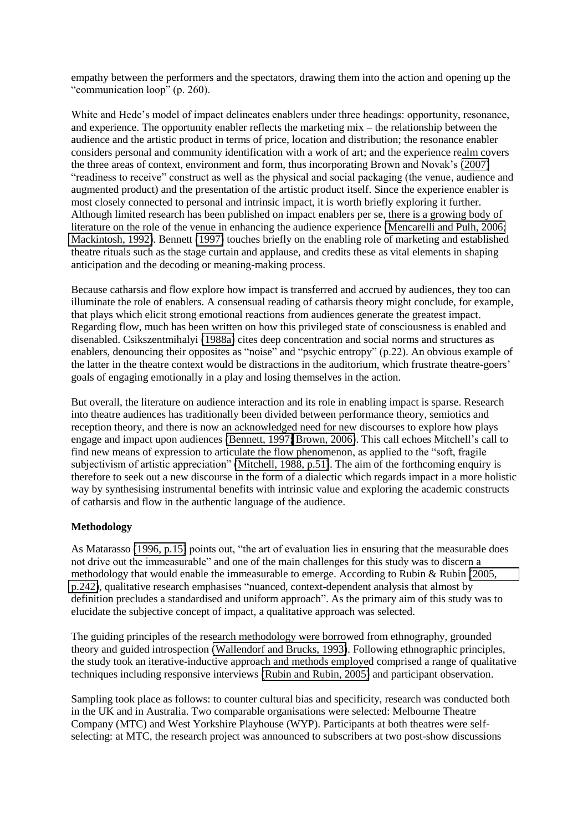empathy between the performers and the spectators, drawing them into the action and opening up the "communication loop" (p. 260).

White and Hede's model of impact delineates enablers under three headings: opportunity, resonance, and experience. The opportunity enabler reflects the marketing mix – the relationship between the audience and the artistic product in terms of price, location and distribution; the resonance enabler considers personal and community identification with a work of art; and the experience realm covers the three areas of context, environment and form, thus incorporating Brown and Novak's [\(2007\)](#page-11-10) "readiness to receive" construct as well as the physical and social packaging (the venue, audience and augmented product) and the presentation of the artistic product itself. Since the experience enabler is most closely connected to personal and intrinsic impact, it is worth briefly exploring it further. Although limited research has been published on impact enablers per se, there is a growing body of literature on the role of the venue in enhancing the audience experience [\(Mencarelli and Pulh, 2006;](#page-12-12) [Mackintosh, 1992\)](#page-12-15). Bennett [\(1997\)](#page-11-11) touches briefly on the enabling role of marketing and established theatre rituals such as the stage curtain and applause, and credits these as vital elements in shaping anticipation and the decoding or meaning-making process.

Because catharsis and flow explore how impact is transferred and accrued by audiences, they too can illuminate the role of enablers. A consensual reading of catharsis theory might conclude, for example, that plays which elicit strong emotional reactions from audiences generate the greatest impact. Regarding flow, much has been written on how this privileged state of consciousness is enabled and disenabled. Csikszentmihalyi [\(1988a\)](#page-11-7) cites deep concentration and social norms and structures as enablers, denouncing their opposites as "noise" and "psychic entropy" (p.22). An obvious example of the latter in the theatre context would be distractions in the auditorium, which frustrate theatre-goers' goals of engaging emotionally in a play and losing themselves in the action.

But overall, the literature on audience interaction and its role in enabling impact is sparse. Research into theatre audiences has traditionally been divided between performance theory, semiotics and reception theory, and there is now an acknowledged need for new discourses to explore how plays engage and impact upon audiences [\(Bennett, 1997;](#page-11-11) [Brown, 2006\)](#page-11-2). This call echoes Mitchell's call to find new means of expression to articulate the flow phenomenon, as applied to the "soft, fragile subjectivism of artistic appreciation" [\(Mitchell, 1988, p.51\)](#page-12-16). The aim of the forthcoming enquiry is therefore to seek out a new discourse in the form of a dialectic which regards impact in a more holistic way by synthesising instrumental benefits with intrinsic value and exploring the academic constructs of catharsis and flow in the authentic language of the audience.

## **Methodology**

As Matarasso [\(1996, p.15\)](#page-12-17) points out, "the art of evaluation lies in ensuring that the measurable does not drive out the immeasurable" and one of the main challenges for this study was to discern a methodology that would enable the immeasurable to emerge. According to Rubin & Rubin [\(2005,](#page-12-18)  [p.242\)](#page-12-18), qualitative research emphasises "nuanced, context-dependent analysis that almost by definition precludes a standardised and uniform approach". As the primary aim of this study was to elucidate the subjective concept of impact, a qualitative approach was selected.

The guiding principles of the research methodology were borrowed from ethnography, grounded theory and guided introspection [\(Wallendorf and Brucks, 1993\)](#page-13-2). Following ethnographic principles, the study took an iterative-inductive approach and methods employed comprised a range of qualitative techniques including responsive interviews [\(Rubin and Rubin, 2005\)](#page-12-18) and participant observation.

Sampling took place as follows: to counter cultural bias and specificity, research was conducted both in the UK and in Australia. Two comparable organisations were selected: Melbourne Theatre Company (MTC) and West Yorkshire Playhouse (WYP). Participants at both theatres were selfselecting: at MTC, the research project was announced to subscribers at two post-show discussions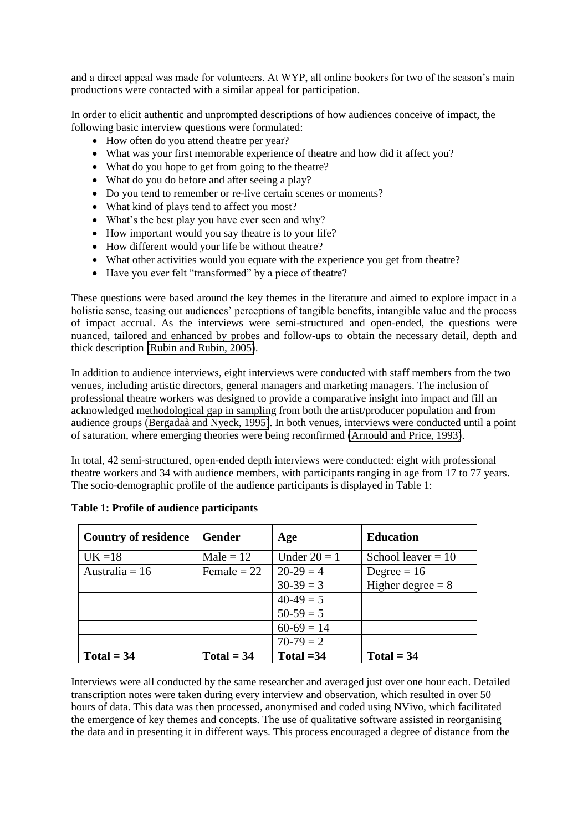and a direct appeal was made for volunteers. At WYP, all online bookers for two of the season's main productions were contacted with a similar appeal for participation.

In order to elicit authentic and unprompted descriptions of how audiences conceive of impact, the following basic interview questions were formulated:

- How often do you attend theatre per year?
- What was your first memorable experience of theatre and how did it affect you?
- What do you hope to get from going to the theatre?
- What do you do before and after seeing a play?
- Do you tend to remember or re-live certain scenes or moments?
- What kind of plays tend to affect you most?
- What's the best play you have ever seen and why?
- How important would you say theatre is to your life?
- How different would your life be without theatre?
- What other activities would you equate with the experience you get from theatre?
- Have you ever felt "transformed" by a piece of theatre?

These questions were based around the key themes in the literature and aimed to explore impact in a holistic sense, teasing out audiences' perceptions of tangible benefits, intangible value and the process of impact accrual. As the interviews were semi-structured and open-ended, the questions were nuanced, tailored and enhanced by probes and follow-ups to obtain the necessary detail, depth and thick description [\(Rubin and Rubin, 2005\)](#page-12-18).

In addition to audience interviews, eight interviews were conducted with staff members from the two venues, including artistic directors, general managers and marketing managers. The inclusion of professional theatre workers was designed to provide a comparative insight into impact and fill an acknowledged methodological gap in sampling from both the artist/producer population and from audience groups [\(Bergadaà and Nyeck, 1995\)](#page-11-12). In both venues, interviews were conducted until a point of saturation, where emerging theories were being reconfirmed [\(Arnould and Price, 1993\)](#page-11-13).

In total, 42 semi-structured, open-ended depth interviews were conducted: eight with professional theatre workers and 34 with audience members, with participants ranging in age from 17 to 77 years. The socio-demographic profile of the audience participants is displayed in Table 1:

| <b>Country of residence</b> | <b>Gender</b> | Age            | <b>Education</b>     |
|-----------------------------|---------------|----------------|----------------------|
| $UK = 18$                   | $Male = 12$   | Under $20 = 1$ | School leaver $= 10$ |
| Australia = $16$            | Female $= 22$ | $20-29=4$      | Degree $= 16$        |
|                             |               | $30-39=3$      | Higher degree $= 8$  |
|                             |               | $40-49=5$      |                      |
|                             |               | $50-59=5$      |                      |
|                             |               | $60-69=14$     |                      |
|                             |               | $70-79=2$      |                      |
| $Total = 34$                | $Total = 34$  | Total $=34$    | $Total = 34$         |

| Table 1: Profile of audience participants |  |
|-------------------------------------------|--|
|-------------------------------------------|--|

Interviews were all conducted by the same researcher and averaged just over one hour each. Detailed transcription notes were taken during every interview and observation, which resulted in over 50 hours of data. This data was then processed, anonymised and coded using NVivo, which facilitated the emergence of key themes and concepts. The use of qualitative software assisted in reorganising the data and in presenting it in different ways. This process encouraged a degree of distance from the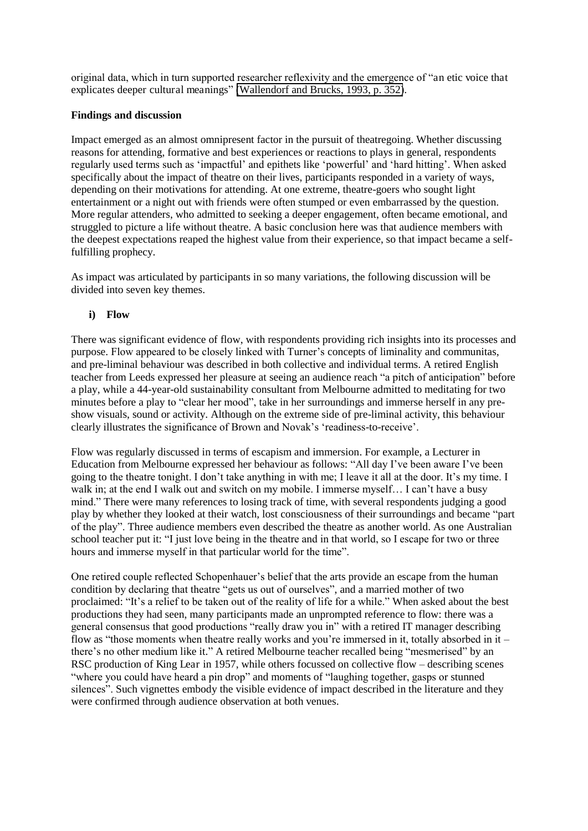original data, which in turn supported researcher reflexivity and the emergence of "an etic voice that explicates deeper cultural meanings" [\(Wallendorf and Brucks, 1993, p. 352\)](#page-13-2).

## **Findings and discussion**

Impact emerged as an almost omnipresent factor in the pursuit of theatregoing. Whether discussing reasons for attending, formative and best experiences or reactions to plays in general, respondents regularly used terms such as 'impactful' and epithets like 'powerful' and 'hard hitting'. When asked specifically about the impact of theatre on their lives, participants responded in a variety of ways, depending on their motivations for attending. At one extreme, theatre-goers who sought light entertainment or a night out with friends were often stumped or even embarrassed by the question. More regular attenders, who admitted to seeking a deeper engagement, often became emotional, and struggled to picture a life without theatre. A basic conclusion here was that audience members with the deepest expectations reaped the highest value from their experience, so that impact became a selffulfilling prophecy.

As impact was articulated by participants in so many variations, the following discussion will be divided into seven key themes.

# **i) Flow**

There was significant evidence of flow, with respondents providing rich insights into its processes and purpose. Flow appeared to be closely linked with Turner's concepts of liminality and communitas, and pre-liminal behaviour was described in both collective and individual terms. A retired English teacher from Leeds expressed her pleasure at seeing an audience reach "a pitch of anticipation" before a play, while a 44-year-old sustainability consultant from Melbourne admitted to meditating for two minutes before a play to "clear her mood", take in her surroundings and immerse herself in any preshow visuals, sound or activity. Although on the extreme side of pre-liminal activity, this behaviour clearly illustrates the significance of Brown and Novak's 'readiness-to-receive'.

Flow was regularly discussed in terms of escapism and immersion. For example, a Lecturer in Education from Melbourne expressed her behaviour as follows: "All day I've been aware I've been going to the theatre tonight. I don't take anything in with me; I leave it all at the door. It's my time. I walk in; at the end I walk out and switch on my mobile. I immerse myself... I can't have a busy mind." There were many references to losing track of time, with several respondents judging a good play by whether they looked at their watch, lost consciousness of their surroundings and became "part of the play". Three audience members even described the theatre as another world. As one Australian school teacher put it: "I just love being in the theatre and in that world, so I escape for two or three hours and immerse myself in that particular world for the time".

One retired couple reflected Schopenhauer's belief that the arts provide an escape from the human condition by declaring that theatre "gets us out of ourselves", and a married mother of two proclaimed: "It's a relief to be taken out of the reality of life for a while." When asked about the best productions they had seen, many participants made an unprompted reference to flow: there was a general consensus that good productions "really draw you in" with a retired IT manager describing flow as "those moments when theatre really works and you're immersed in it, totally absorbed in it – there's no other medium like it." A retired Melbourne teacher recalled being "mesmerised" by an RSC production of King Lear in 1957, while others focussed on collective flow – describing scenes "where you could have heard a pin drop" and moments of "laughing together, gasps or stunned silences". Such vignettes embody the visible evidence of impact described in the literature and they were confirmed through audience observation at both venues.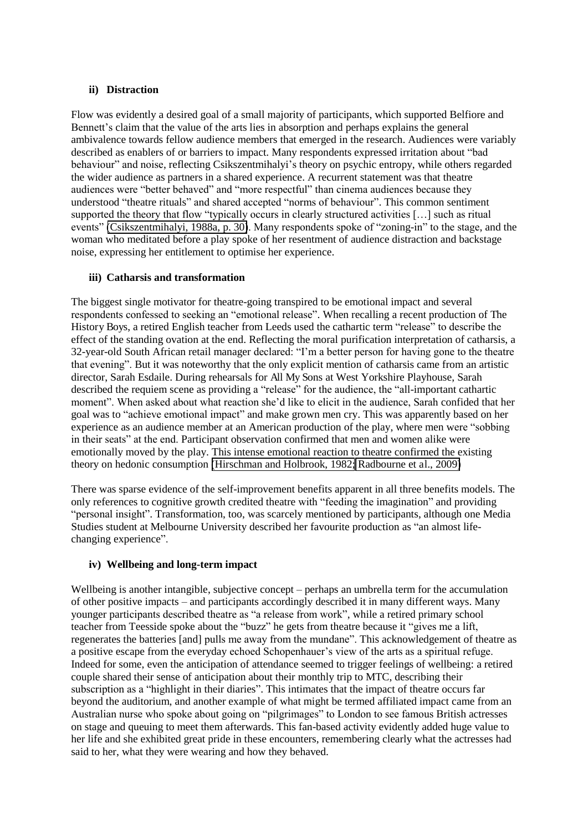# **ii) Distraction**

Flow was evidently a desired goal of a small majority of participants, which supported Belfiore and Bennett's claim that the value of the arts lies in absorption and perhaps explains the general ambivalence towards fellow audience members that emerged in the research. Audiences were variably described as enablers of or barriers to impact. Many respondents expressed irritation about "bad behaviour" and noise, reflecting Csikszentmihalyi's theory on psychic entropy, while others regarded the wider audience as partners in a shared experience. A recurrent statement was that theatre audiences were "better behaved" and "more respectful" than cinema audiences because they understood "theatre rituals" and shared accepted "norms of behaviour". This common sentiment supported the theory that flow "typically occurs in clearly structured activities […] such as ritual events" [\(Csikszentmihalyi, 1988a, p. 30\)](#page-11-7). Many respondents spoke of "zoning-in" to the stage, and the woman who meditated before a play spoke of her resentment of audience distraction and backstage noise, expressing her entitlement to optimise her experience.

# **iii) Catharsis and transformation**

The biggest single motivator for theatre-going transpired to be emotional impact and several respondents confessed to seeking an "emotional release". When recalling a recent production of The History Boys, a retired English teacher from Leeds used the cathartic term "release" to describe the effect of the standing ovation at the end. Reflecting the moral purification interpretation of catharsis, a 32-year-old South African retail manager declared: "I'm a better person for having gone to the theatre that evening". But it was noteworthy that the only explicit mention of catharsis came from an artistic director, Sarah Esdaile. During rehearsals for All My Sons at West Yorkshire Playhouse, Sarah described the requiem scene as providing a "release" for the audience, the "all-important cathartic moment". When asked about what reaction she'd like to elicit in the audience, Sarah confided that her goal was to "achieve emotional impact" and make grown men cry. This was apparently based on her experience as an audience member at an American production of the play, where men were "sobbing in their seats" at the end. Participant observation confirmed that men and women alike were emotionally moved by the play. This intense emotional reaction to theatre confirmed the existing theory on hedonic consumption [\(Hirschman and Holbrook, 1982;](#page-12-8) [Radbourne et al., 2009\)](#page-12-9)

There was sparse evidence of the self-improvement benefits apparent in all three benefits models. The only references to cognitive growth credited theatre with "feeding the imagination" and providing "personal insight". Transformation, too, was scarcely mentioned by participants, although one Media Studies student at Melbourne University described her favourite production as "an almost lifechanging experience".

## **iv) Wellbeing and long-term impact**

Wellbeing is another intangible, subjective concept – perhaps an umbrella term for the accumulation of other positive impacts – and participants accordingly described it in many different ways. Many younger participants described theatre as "a release from work", while a retired primary school teacher from Teesside spoke about the "buzz" he gets from theatre because it "gives me a lift, regenerates the batteries [and] pulls me away from the mundane". This acknowledgement of theatre as a positive escape from the everyday echoed Schopenhauer's view of the arts as a spiritual refuge. Indeed for some, even the anticipation of attendance seemed to trigger feelings of wellbeing: a retired couple shared their sense of anticipation about their monthly trip to MTC, describing their subscription as a "highlight in their diaries". This intimates that the impact of theatre occurs far beyond the auditorium, and another example of what might be termed affiliated impact came from an Australian nurse who spoke about going on "pilgrimages" to London to see famous British actresses on stage and queuing to meet them afterwards. This fan-based activity evidently added huge value to her life and she exhibited great pride in these encounters, remembering clearly what the actresses had said to her, what they were wearing and how they behaved.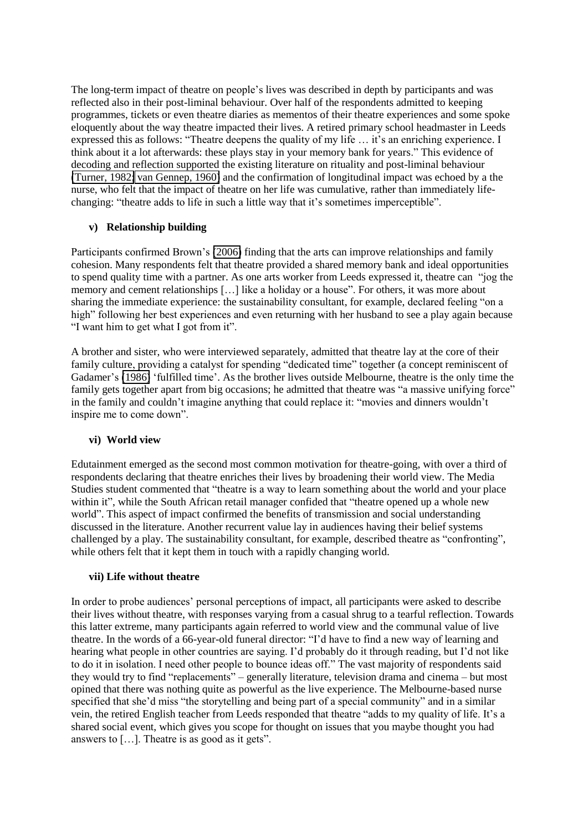The long-term impact of theatre on people's lives was described in depth by participants and was reflected also in their post-liminal behaviour. Over half of the respondents admitted to keeping programmes, tickets or even theatre diaries as mementos of their theatre experiences and some spoke eloquently about the way theatre impacted their lives. A retired primary school headmaster in Leeds expressed this as follows: "Theatre deepens the quality of my life … it's an enriching experience. I think about it a lot afterwards: these plays stay in your memory bank for years." This evidence of decoding and reflection supported the existing literature on rituality and post-liminal behaviour [\(Turner, 1982;](#page-12-10) [van Gennep, 1960\)](#page-12-19) and the confirmation of longitudinal impact was echoed by a the nurse, who felt that the impact of theatre on her life was cumulative, rather than immediately lifechanging: "theatre adds to life in such a little way that it's sometimes imperceptible".

# **v) Relationship building**

Participants confirmed Brown's [\(2006\)](#page-11-2) finding that the arts can improve relationships and family cohesion. Many respondents felt that theatre provided a shared memory bank and ideal opportunities to spend quality time with a partner. As one arts worker from Leeds expressed it, theatre can "jog the memory and cement relationships […] like a holiday or a house". For others, it was more about sharing the immediate experience: the sustainability consultant, for example, declared feeling "on a high" following her best experiences and even returning with her husband to see a play again because "I want him to get what I got from it".

A brother and sister, who were interviewed separately, admitted that theatre lay at the core of their family culture, providing a catalyst for spending "dedicated time" together (a concept reminiscent of Gadamer's [\(1986\)](#page-11-9) 'fulfilled time'. As the brother lives outside Melbourne, theatre is the only time the family gets together apart from big occasions; he admitted that theatre was "a massive unifying force" in the family and couldn't imagine anything that could replace it: "movies and dinners wouldn't inspire me to come down".

## **vi) World view**

Edutainment emerged as the second most common motivation for theatre-going, with over a third of respondents declaring that theatre enriches their lives by broadening their world view. The Media Studies student commented that "theatre is a way to learn something about the world and your place within it", while the South African retail manager confided that "theatre opened up a whole new world". This aspect of impact confirmed the benefits of transmission and social understanding discussed in the literature. Another recurrent value lay in audiences having their belief systems challenged by a play. The sustainability consultant, for example, described theatre as "confronting", while others felt that it kept them in touch with a rapidly changing world.

## **vii) Life without theatre**

In order to probe audiences' personal perceptions of impact, all participants were asked to describe their lives without theatre, with responses varying from a casual shrug to a tearful reflection. Towards this latter extreme, many participants again referred to world view and the communal value of live theatre. In the words of a 66-year-old funeral director: "I'd have to find a new way of learning and hearing what people in other countries are saying. I'd probably do it through reading, but I'd not like to do it in isolation. I need other people to bounce ideas off." The vast majority of respondents said they would try to find "replacements" – generally literature, television drama and cinema – but most opined that there was nothing quite as powerful as the live experience. The Melbourne-based nurse specified that she'd miss "the storytelling and being part of a special community" and in a similar vein, the retired English teacher from Leeds responded that theatre "adds to my quality of life. It's a shared social event, which gives you scope for thought on issues that you maybe thought you had answers to […]. Theatre is as good as it gets".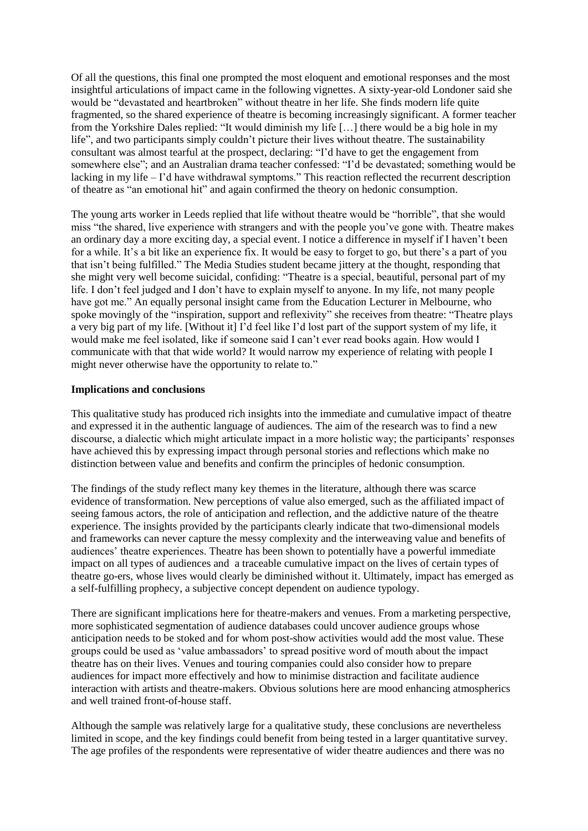Of all the questions, this final one prompted the most eloquent and emotional responses and the most insightful articulations of impact came in the following vignettes. A sixty-year-old Londoner said she would be "devastated and heartbroken" without theatre in her life. She finds modern life quite fragmented, so the shared experience of theatre is becoming increasingly significant. A former teacher from the Yorkshire Dales replied: "It would diminish my life […] there would be a big hole in my life", and two participants simply couldn't picture their lives without theatre. The sustainability consultant was almost tearful at the prospect, declaring: "I'd have to get the engagement from somewhere else"; and an Australian drama teacher confessed: "I'd be devastated; something would be lacking in my life – I'd have withdrawal symptoms." This reaction reflected the recurrent description of theatre as "an emotional hit" and again confirmed the theory on hedonic consumption.

<span id="page-11-13"></span><span id="page-11-4"></span><span id="page-11-1"></span>The young arts worker in Leeds replied that life without theatre would be "horrible", that she would miss "the shared, live experience with strangers and with the people you've gone with. Theatre makes an ordinary day a more exciting day, a special event. I notice a difference in myself if I haven't been for a while. It's a bit like an experience fix. It would be easy to forget to go, but there's a part of you that isn't being fulfilled." The Media Studies student became jittery at the thought, responding that she might very well become suicidal, confiding: "Theatre is a special, beautiful, personal part of my life. I don't feel judged and I don't have to explain myself to anyone. In my life, not many people have got me." An equally personal insight came from the Education Lecturer in Melbourne, who spoke movingly of the "inspiration, support and reflexivity" she receives from theatre: "Theatre plays a very big part of my life. [Without it] I'd feel like I'd lost part of the support system of my life, it would make me feel isolated, like if someone said I can't ever read books again. How would I communicate with that that wide world? It would narrow my experience of relating with people I might never otherwise have the opportunity to relate to."

#### <span id="page-11-12"></span><span id="page-11-11"></span><span id="page-11-0"></span>**Implications and conclusions**

<span id="page-11-2"></span>This qualitative study has produced rich insights into the immediate and cumulative impact of theatre and expressed it in the authentic language of audiences. The aim of the research was to find a new discourse, a dialectic which might articulate impact in a more holistic way; the participants' responses have achieved this by expressing impact through personal stories and reflections which make no distinction between value and benefits and confirm the principles of hedonic consumption.

<span id="page-11-10"></span><span id="page-11-7"></span><span id="page-11-6"></span>The findings of the study reflect many key themes in the literature, although there was scarce evidence of transformation. New perceptions of value also emerged, such as the affiliated impact of seeing famous actors, the role of anticipation and reflection, and the addictive nature of the theatre experience. The insights provided by the participants clearly indicate that two-dimensional models and frameworks can never capture the messy complexity and the interweaving value and benefits of audiences' theatre experiences. Theatre has been shown to potentially have a powerful immediate impact on all types of audiences and a traceable cumulative impact on the lives of certain types of theatre go-ers, whose lives would clearly be diminished without it. Ultimately, impact has emerged as a self-fulfilling prophecy, a subjective concept dependent on audience typology.

<span id="page-11-8"></span><span id="page-11-5"></span>There are significant implications here for theatre-makers and venues. From a marketing perspective, more sophisticated segmentation of audience databases could uncover audience groups whose anticipation needs to be stoked and for whom post-show activities would add the most value. These groups could be used as 'value ambassadors' to spread positive word of mouth about the impact theatre has on their lives. Venues and touring companies could also consider how to prepare audiences for impact more effectively and how to minimise distraction and facilitate audience interaction with artists and theatre-makers. Obvious solutions here are mood enhancing atmospherics and well trained front-of-house staff.

<span id="page-11-9"></span><span id="page-11-3"></span>Although the sample was relatively large for a qualitative study, these conclusions are nevertheless limited in scope, and the key findings could benefit from being tested in a larger quantitative survey. The age profiles of the respondents were representative of wider theatre audiences and there was no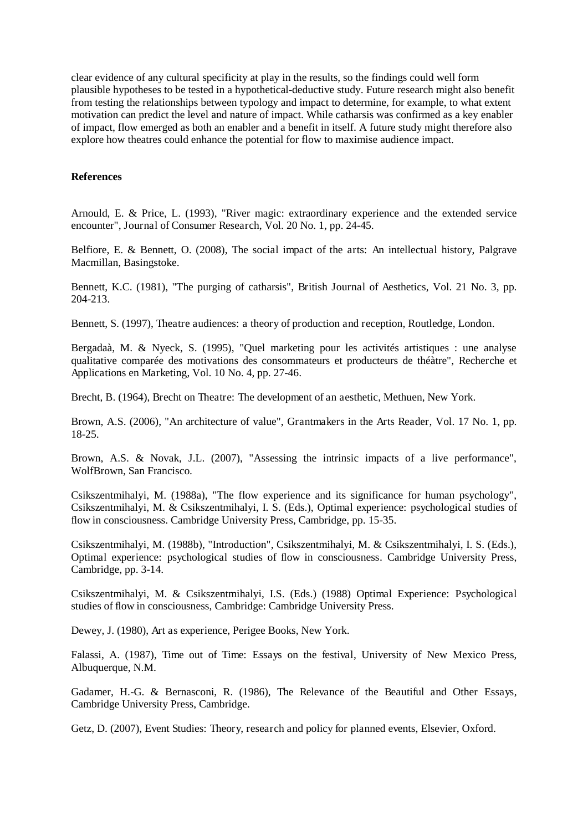<span id="page-12-5"></span><span id="page-12-4"></span>clear evidence of any cultural specificity at play in the results, so the findings could well form plausible hypotheses to be tested in a hypothetical-deductive study. Future research might also benefit from testing the relationships between typology and impact to determine, for example, to what extent motivation can predict the level and nature of impact. While catharsis was confirmed as a key enabler of impact, flow emerged as both an enabler and a benefit in itself. A future study might therefore also explore how theatres could enhance the potential for flow to maximise audience impact.

## <span id="page-12-8"></span><span id="page-12-1"></span>**References**

<span id="page-12-15"></span>Arnould, E. & Price, L. (1993), "River magic: extraordinary experience and the extended service encounter", Journal of Consumer Research, Vol. 20 No. 1, pp. 24-45.

<span id="page-12-17"></span>Belfiore, E. & Bennett, O. (2008), The social impact of the arts: An intellectual history, Palgrave Macmillan, Basingstoke.

<span id="page-12-0"></span>Bennett, K.C. (1981), "The purging of catharsis", British Journal of Aesthetics, Vol. 21 No. 3, pp. 204-213.

<span id="page-12-12"></span>Bennett, S. (1997), Theatre audiences: a theory of production and reception, Routledge, London.

<span id="page-12-16"></span>Bergadaà, M. & Nyeck, S. (1995), "Quel marketing pour les activités artistiques : une analyse qualitative comparée des motivations des consommateurs et producteurs de théàtre", Recherche et Applications en Marketing, Vol. 10 No. 4, pp. 27-46.

<span id="page-12-7"></span>Brecht, B. (1964), Brecht on Theatre: The development of an aesthetic, Methuen, New York.

Brown, A.S. (2006), "An architecture of value", Grantmakers in the Arts Reader, Vol. 17 No. 1, pp. 18-25.

<span id="page-12-2"></span>Brown, A.S. & Novak, J.L. (2007), "Assessing the intrinsic impacts of a live performance", WolfBrown, San Francisco.

<span id="page-12-14"></span><span id="page-12-3"></span>Csikszentmihalyi, M. (1988a), "The flow experience and its significance for human psychology", Csikszentmihalyi, M. & Csikszentmihalyi, I. S. (Eds.), Optimal experience: psychological studies of flow in consciousness. Cambridge University Press, Cambridge, pp. 15-35.

<span id="page-12-9"></span>Csikszentmihalyi, M. (1988b), "Introduction", Csikszentmihalyi, M. & Csikszentmihalyi, I. S. (Eds.), Optimal experience: psychological studies of flow in consciousness. Cambridge University Press, Cambridge, pp. 3-14.

<span id="page-12-18"></span>Csikszentmihalyi, M. & Csikszentmihalyi, I.S. (Eds.) (1988) Optimal Experience: Psychological studies of flow in consciousness, Cambridge: Cambridge University Press.

<span id="page-12-6"></span>Dewey, J. (1980), Art as experience, Perigee Books, New York.

<span id="page-12-11"></span>Falassi, A. (1987), Time out of Time: Essays on the festival, University of New Mexico Press, Albuquerque, N.M.

<span id="page-12-10"></span>Gadamer, H.-G. & Bernasconi, R. (1986), The Relevance of the Beautiful and Other Essays, Cambridge University Press, Cambridge.

<span id="page-12-19"></span><span id="page-12-13"></span>Getz, D. (2007), Event Studies: Theory, research and policy for planned events, Elsevier, Oxford.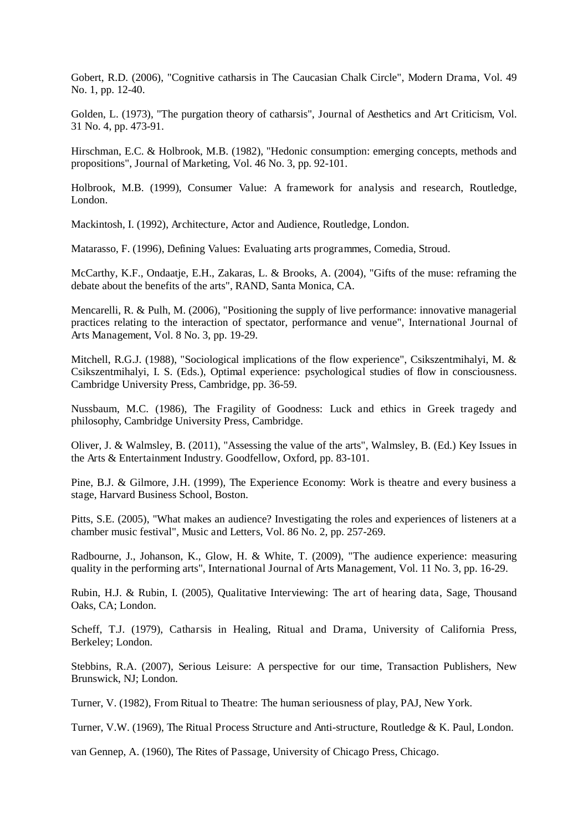<span id="page-13-2"></span>Gobert, R.D. (2006), "Cognitive catharsis in The Caucasian Chalk Circle", Modern Drama, Vol. 49 No. 1, pp. 12-40.

<span id="page-13-0"></span>Golden, L. (1973), "The purgation theory of catharsis", Journal of Aesthetics and Art Criticism, Vol. 31 No. 4, pp. 473-91.

<span id="page-13-1"></span>Hirschman, E.C. & Holbrook, M.B. (1982), "Hedonic consumption: emerging concepts, methods and propositions", Journal of Marketing, Vol. 46 No. 3, pp. 92-101.

Holbrook, M.B. (1999), Consumer Value: A framework for analysis and research, Routledge, London.

Mackintosh, I. (1992), Architecture, Actor and Audience, Routledge, London.

Matarasso, F. (1996), Defining Values: Evaluating arts programmes, Comedia, Stroud.

McCarthy, K.F., Ondaatje, E.H., Zakaras, L. & Brooks, A. (2004), "Gifts of the muse: reframing the debate about the benefits of the arts", RAND, Santa Monica, CA.

Mencarelli, R. & Pulh, M. (2006), "Positioning the supply of live performance: innovative managerial practices relating to the interaction of spectator, performance and venue", International Journal of Arts Management, Vol. 8 No. 3, pp. 19-29.

Mitchell, R.G.J. (1988), "Sociological implications of the flow experience", Csikszentmihalyi, M. & Csikszentmihalyi, I. S. (Eds.), Optimal experience: psychological studies of flow in consciousness. Cambridge University Press, Cambridge, pp. 36-59.

Nussbaum, M.C. (1986), The Fragility of Goodness: Luck and ethics in Greek tragedy and philosophy, Cambridge University Press, Cambridge.

Oliver, J. & Walmsley, B. (2011), "Assessing the value of the arts", Walmsley, B. (Ed.) Key Issues in the Arts & Entertainment Industry. Goodfellow, Oxford, pp. 83-101.

Pine, B.J. & Gilmore, J.H. (1999), The Experience Economy: Work is theatre and every business a stage, Harvard Business School, Boston.

Pitts, S.E. (2005), "What makes an audience? Investigating the roles and experiences of listeners at a chamber music festival", Music and Letters, Vol. 86 No. 2, pp. 257-269.

Radbourne, J., Johanson, K., Glow, H. & White, T. (2009), "The audience experience: measuring quality in the performing arts", International Journal of Arts Management, Vol. 11 No. 3, pp. 16-29.

Rubin, H.J. & Rubin, I. (2005), Qualitative Interviewing: The art of hearing data, Sage, Thousand Oaks, CA; London.

Scheff, T.J. (1979), Catharsis in Healing, Ritual and Drama, University of California Press, Berkeley; London.

Stebbins, R.A. (2007), Serious Leisure: A perspective for our time, Transaction Publishers, New Brunswick, NJ; London.

Turner, V. (1982), From Ritual to Theatre: The human seriousness of play, PAJ, New York.

Turner, V.W. (1969), The Ritual Process Structure and Anti-structure, Routledge & K. Paul, London.

van Gennep, A. (1960), The Rites of Passage, University of Chicago Press, Chicago.